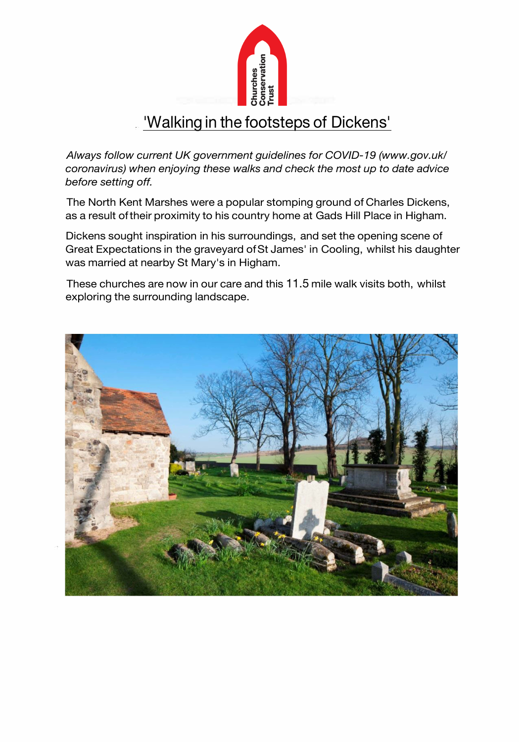

# 'Walking in the footsteps of Dickens'

*Always follow current UK government guidelines for COVID-19 (www.gov.uk/ coronavirus) when enjoying these walks and check the most up to date advice before setting off.* 

The North Kent Marshes were a popular stomping ground of Charles Dickens, as a result of their proximity to his country home at Gads Hill Place in Higham.

Dickens sought inspiration in his surroundings, and set the opening scene of Great Expectations in the graveyard ofSt James' in Cooling, whilst his daughter was married at nearby St Mary's in Higham.

These churches are now in our care and this 11.5 mile walk visits both, whilst exploring the surrounding landscape.

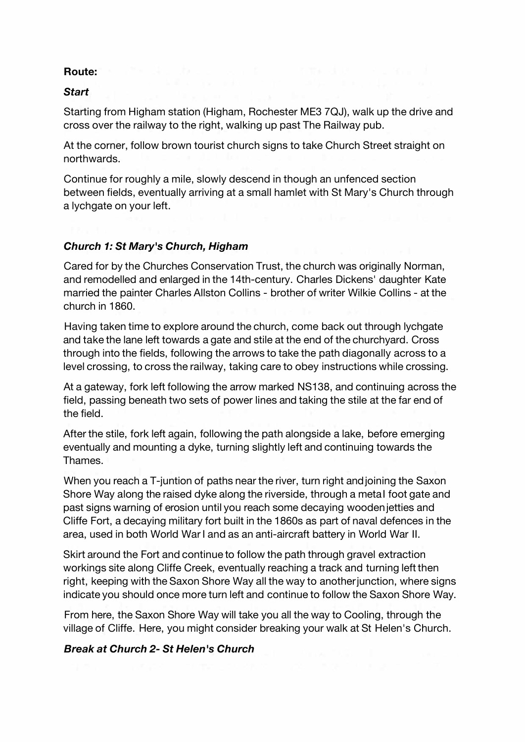# **Route:**

#### *Start*

Starting from Higham station (Higham, Rochester ME3 7QJ), walk up the drive and cross over the railway to the right, walking up past The Railway pub.

At the corner, follow brown tourist church signs to take Church Street straight on northwards.

Continue for roughly a mile, slowly descend in though an unfenced section between fields, eventually arriving at a small hamlet with St Mary's Church through a lychgate on your left.

### *Church 1: St Mary's Church, Higham*

Cared for by the Churches Conservation Trust, the church was originally Norman, and remodelled and enlarged in the 14th-century. Charles Dickens' daughter Kate married the painter Charles Allston Collins - brother of writer Wilkie Collins - at the church in 1860.

Having taken time to explore around the church, come back out through lychgate and take the lane left towards a gate and stile at the end of the churchyard. Cross through into the fields, following the arrows to take the path diagonally across to a level crossing, to cross the railway, taking care to obey instructions while crossing.

At a gateway, fork left following the arrow marked NS138, and continuing across the field, passing beneath two sets of power lines and taking the stile at the far end of the field.

After the stile, fork left again, following the path alongside a lake, before emerging eventually and mounting a dyke, turning slightly left and continuing towards the Thames.

When you reach a T-juntion of paths near the river, turn right and joining the Saxon Shore Way along the raised dyke along the riverside, through a metal foot gate and past signs warning of erosion until you reach some decaying wooden jetties and Cliffe Fort, a decaying military fort built in the 1860s as part of naval defences in the area, used in both World War I and as an anti-aircraft battery in World War II.

Skirt around the Fort and continue to follow the path through gravel extraction workings site along Cliffe Creek, eventually reaching a track and turning left then right, keeping with the Saxon Shore Way all the way to another junction, where signs indicate you should once more turn left and continue to follow the Saxon Shore Way.

From here, the Saxon Shore Way will take you all the way to Cooling, through the village of Cliffe. Here, you might consider breaking your walk at St Helen's Church.

### *Break at Church 2- St Helen's Church*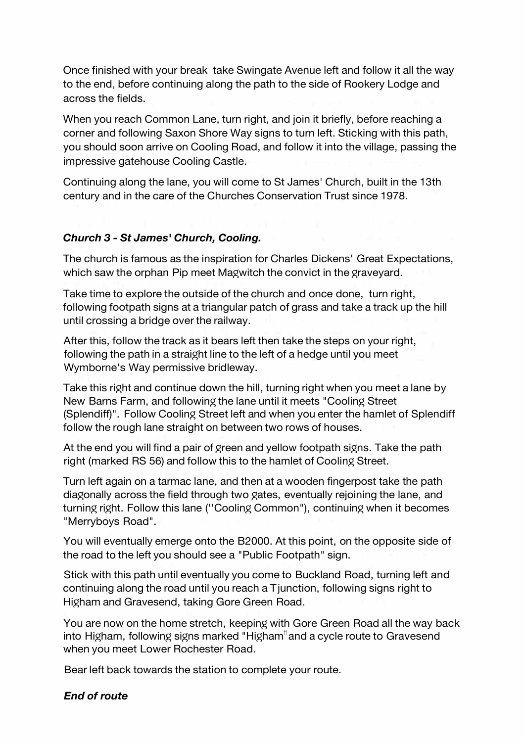Once finished with your break take Swingate Avenue left and follow it all the way to the end, before continuing along the path to the side of Rookery Lodge and across the fields.

When you reach Common Lane, turn right, and join it briefly, before reaching a corner and following Saxon Shore Way signs to turn left. Sticking with this path, you should soon arrive on Cooling Road, and follow it into the village, passing the impressive gatehouse Cooling Castle.

Continuing along the lane, you will come to St James' Church, built in the 13th century and in the care of the Churches Conservation Trust since 1978.

# *Church 3 - St James' Church, Cooling.*

The church is famous as the inspiration for Charles Dickens' Great Expectations, which saw the orphan Pip meet Magwitch the convict in the graveyard.

Take time to explore the outside of the church and once done, turn right, following footpath signs at a triangular patch of grass and take a track up the hill until crossing a bridge over the railway.

After this, follow the track as it bears left then take the steps on your right, following the path in a straight line to the left of a hedge until you meet Wymborne's Way permissive bridleway.

Take this right and continue down the hill, turning right when you meet a lane by New Barns Farm, and following the lane until it meets "Cooling Street" (Splendiff)". Follow Cooling Street left and when you enter the hamlet of Splendiff follow the rough lane straight on between two rows of houses.

At the end you will find a pair of green and yellow footpath signs. Take the path right (marked RS 56) and follow this to the hamlet of Cooling Street.

Turn left again on a tarmac lane, and then at a wooden fingerpost take the path dia�onally across the field through two �ates, eventually rejoining the lane, and turning right. Follow this lane ("Cooling Common"), continuing when it becomes "Merryboys Road".

You will eventually emerge onto the B2000. At this point, on the opposite side of the road to the left you should see a "Public Footpath" sign.

Stick with this path until eventually you come to Buckland Road, turning left and continuing along the road until you reach a T junction, following signs right to Higham and Gravesend, taking Gore Green Road.

You are now on the home stretch, keeping with Gore Green Road all the way back into Higham, following signs marked "Higham<sup>"</sup> and a cycle route to Gravesend when you meet Lower Rochester Road.

Bear left back towards the station to complete your route.

#### *End of route*